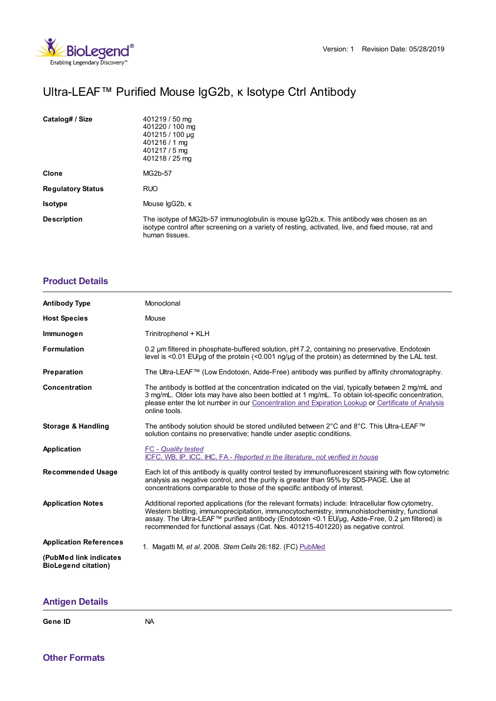

## Ultra-LEAF™ Purified Mouse IgG2b, κ Isotype Ctrl Antibody

| Catalog# / Size          | 401219 / 50 mg<br>401220 / 100 mg<br>401215 / 100 µg<br>$401216/1$ mg<br>401217 / 5 mg<br>401218 / 25 mg                                                                                                        |
|--------------------------|-----------------------------------------------------------------------------------------------------------------------------------------------------------------------------------------------------------------|
| Clone                    | MG2b-57                                                                                                                                                                                                         |
| <b>Regulatory Status</b> | <b>RUO</b>                                                                                                                                                                                                      |
| <b>Isotype</b>           | Mouse lgG2b, к                                                                                                                                                                                                  |
| <b>Description</b>       | The isotype of MG2b-57 immunoglobulin is mouse IgG2b, k. This antibody was chosen as an<br>isotype control after screening on a variety of resting, activated, live, and fixed mouse, rat and<br>human tissues. |

## **[Product](https://www.biolegend.com/en-gb/products/ultra-leaf-purified-mouse-igg2b-kappa-isotype-ctrl-igg2b-k-isotype-ctrl-17707?pdf=true&displayInline=true&leftRightMargin=15&topBottomMargin=15&filename=Ultra-LEAF%EF%BF%BD%EF%BF%BD%EF%BF%BD Purified Mouse IgG2b, %EF%BF%BD%EF%BF%BD Isotype Ctrl Antibody.pdf#productDetails) Details**

| <b>Antibody Type</b>                                 | Monoclonal                                                                                                                                                                                                                                                                                                                                                                                |
|------------------------------------------------------|-------------------------------------------------------------------------------------------------------------------------------------------------------------------------------------------------------------------------------------------------------------------------------------------------------------------------------------------------------------------------------------------|
| <b>Host Species</b>                                  | Mouse                                                                                                                                                                                                                                                                                                                                                                                     |
| Immunogen                                            | Trinitrophenol + KLH                                                                                                                                                                                                                                                                                                                                                                      |
| <b>Formulation</b>                                   | 0.2 um filtered in phosphate-buffered solution, pH 7.2, containing no preservative. Endotoxin<br>level is $\leq$ 0.01 EU/µq of the protein $\leq$ 0.001 ng/µq of the protein) as determined by the LAL test.                                                                                                                                                                              |
| Preparation                                          | The Ultra-LEAF™ (Low Endotoxin, Azide-Free) antibody was purified by affinity chromatography.                                                                                                                                                                                                                                                                                             |
| Concentration                                        | The antibody is bottled at the concentration indicated on the vial, typically between 2 mg/mL and<br>3 mg/mL. Older lots may have also been bottled at 1 mg/mL. To obtain lot-specific concentration,<br>please enter the lot number in our Concentration and Expiration Lookup or Certificate of Analysis<br>online tools.                                                               |
| <b>Storage &amp; Handling</b>                        | The antibody solution should be stored undiluted between 2°C and 8°C. This Ultra-LEAF™<br>solution contains no preservative; handle under aseptic conditions.                                                                                                                                                                                                                             |
| Application                                          | <b>FC</b> - Quality tested<br>ICFC, WB, IP, ICC, IHC, FA - Reported in the literature, not verified in house                                                                                                                                                                                                                                                                              |
| <b>Recommended Usage</b>                             | Each lot of this antibody is quality control tested by immunofluorescent staining with flow cytometric<br>analysis as negative control, and the purity is greater than 95% by SDS-PAGE. Use at<br>concentrations comparable to those of the specific antibody of interest.                                                                                                                |
| <b>Application Notes</b>                             | Additional reported applications (for the relevant formats) include: Intracellular flow cytometry,<br>Western blotting, immunoprecipitation, immunocytochemistry, immunohistochemistry, functional<br>assay. The Ultra-LEAF™ purified antibody (Endotoxin <0.1 EU/µg, Azide-Free, 0.2 µm filtered) is<br>recommended for functional assays (Cat. Nos. 401215-401220) as negative control. |
| <b>Application References</b>                        | 1. Magatti M, et al. 2008. Stem Cells 26:182. (FC) PubMed                                                                                                                                                                                                                                                                                                                                 |
| (PubMed link indicates<br><b>BioLegend citation)</b> |                                                                                                                                                                                                                                                                                                                                                                                           |

## **[Antigen](https://www.biolegend.com/en-gb/products/ultra-leaf-purified-mouse-igg2b-kappa-isotype-ctrl-igg2b-k-isotype-ctrl-17707?pdf=true&displayInline=true&leftRightMargin=15&topBottomMargin=15&filename=Ultra-LEAF%EF%BF%BD%EF%BF%BD%EF%BF%BD Purified Mouse IgG2b, %EF%BF%BD%EF%BF%BD Isotype Ctrl Antibody.pdf#antigenDetails) Details**